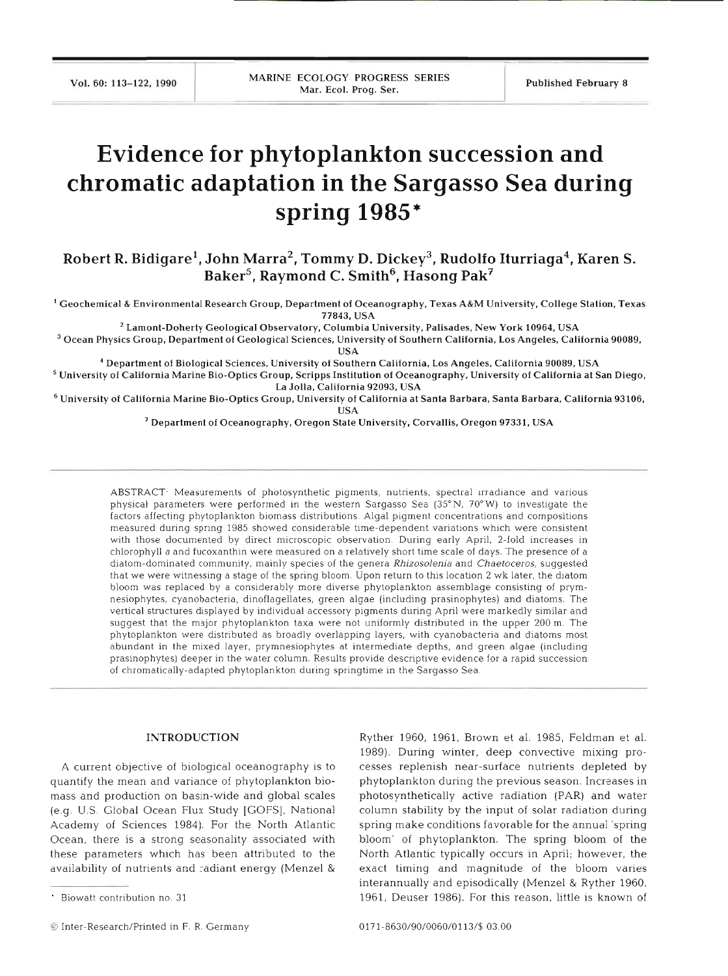# **Evidence for phytoplankton succession and chromatic adaptation in the Sargasso Sea during spring 1985'**

Robert R. Bidigare<sup>1</sup>, John Marra<sup>2</sup>, Tommy D. Dickey<sup>3</sup>, Rudolfo Iturriaga<sup>4</sup>, Karen S. Baker<sup>5</sup>, Raymond C. Smith<sup>6</sup>, Hasong Pak<sup>7</sup>

' **Geochemical** & **Environmental Research Group, Department of Oceanography, Texas A&M University, College Station, Texas 77843, USA** \* **Lamont-Doherty Geological Observatory, Columbia University, Palisades, New York 10964. USA** 

<sup>3</sup> Ocean Physics Group, Department of Geological Sciences, University of Southern California, Los Angeles, California 90089,

'' **Department of Biological Sciences. University of Southern California, Los Angeles, California 90089, USA University of California Marine Bio-Optics Group, Scripps Institution of Oceanography, University of California at San Diego. La Jolla, California 92093. USA** 

**University of California Marine Bio-Optics Group, University of California at Santa Barbara, Santa Barbara, California 93106, USA** 

' **Department of Oceanography, Oregon State University. Corvallis. Oregon 97331, USA** 

ABSTRACT<sup>.</sup> Measurements of photosynthetic pigments, nutrients, spectral irradiance and various physical parameters were performed in the western Sargasso Sea  $(35°N, 70°W)$  to investigate the factors affecting phytoplankton biomass distributions. Algal pigment concentrations and compositions measured during spring 1985 showed considerable time-dependent variations which were consistent with those documented by direct microscopic observation. During early April, 2-fold increases in chlorophyll a and fucoxanthin were measured on a relatively short time scale of days. The presence of a diatom-dominated community, mainly species of the genera Rhizosolenia and Chaetoceros, suggested that we were witnessing a stage of the spring bloom Upon return to thls location 2 wk later, the diatom bloom was replaced by a considerably more diverse phytoplankton assemblage consisting of prymnesiophytes, cyanobacteria, dinoflagellates, green algae (including prasinophytes) and diatoms. The vertical structures displayed by individual accessory pigments during April were markedly similar and suggest that the major phytoplankton taxa were not uniformly distributed in the upper 200 m. The phytoplankton were distributed as broadly overlapping layers, with cyanobacteria and diatoms most abundant in the mixed layer, prymnesiophytes at intermediate depths, and green algae (including prasinophytes) deeper in the water column. Results provide descriptive evidence for a rapid succession of chromatically-adapted phytoplankton during springtime in the Sargasso Sea

#### **INTRODUCT**

A current objective of biological oceanography is to quantify the mean and variance of phytoplankton biomass and production on basin-wide and global scales (e.g. U.S. Global Ocean Flux Study [GOFS], National Academy of Sciences 1984). For the North Atlantic Ocean, there is a strong seasonality associated with these parameters which has been attributed to the availability of nutrients and radiant energy (Menzel &

P P

Ryther 1960, 1961, Brown et al. 1985, Feldman et al. 1989). During winter, deep convective mixing processes replenish near-surface nutrients depleted by phytoplankton during the previous season. Increases in photosynthetically active radiation (PAR) and water column stability by the input of solar radiation during spring make conditions favorable for the annual 'spring bloom' of phytoplankton. The spring bloom of the North Atlantic typically occurs in April; however, the exact timing and magnitude of the bloom varies interannually and episodically (Menzel & Ryther 1960, 1961, Deuser 1986). For this reason, little is known of

bliowatt contribution no

 $\bullet$  Inter-Research/Printed in F. R. Germany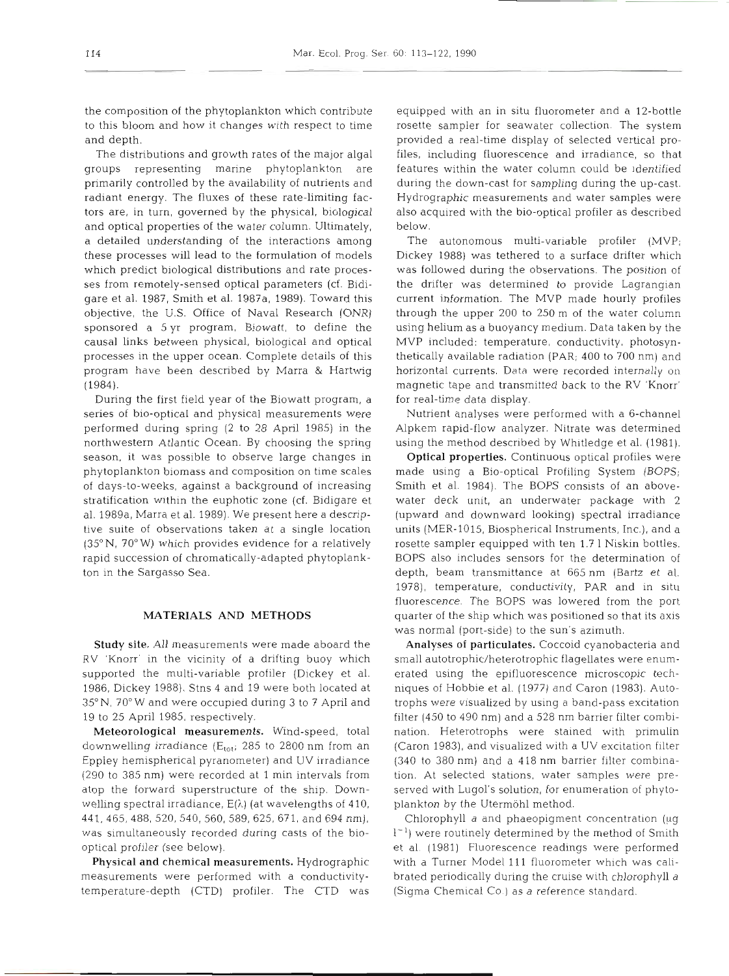the composition of the phytoplankton which contribute to this bloom and how it changes with respect to time and depth.

The distributions and growth rates of the major algal groups representing marine phytoplankton are primarily controlled by the availability of nutrients and radiant energy. The fluxes of these rate-limiting factors are, in turn, governed by the physical, biological and optical properties of the water column. Ultimately, a detailed understanding of the interactions among these processes will lead to the formulation of models which predict biological distributions and rate processes from remotely-sensed optical parameters (cf. Bidigare et al. 1987, Smith et al. 1987a, 1989). Toward this objective, the U.S. Office of Naval Research (ONR) sponsored a *5* yr program, Biowatt, to define the causal links between physical, biological and optical processes in the upper ocean. Complete details of this program have been described by Marra & Hartwig (1984).

During the first field year of the Biowatt program, a series of bio-optical and physical measurements were performed during spring (2 to 28 April 1985) in the northwestern Atlantic Ocean. By choosing the spring season, it was possible to observe large changes in phytoplankton biomass and composition on time scales of days-to-weeks, against a background of increasing stratification within the euphotic zone (cf. Bidigare et al. 1989a, Marra et al. 1989). We present here a descriptive suite of observations taken at a single location (35° N, 70° W) which provides evidence for a relatively rapid succession of chromatically-adapted phytoplankton in the Sargasso Sea.

#### **MATERIALS AND METHODS**

Study site. All measurements were made aboard the RV 'Knorr' in the vicinity of a drifting buoy which supported the multi-variable profiler (Dickey et al. 1986, Dickey 1988). Stns 4 and 19 were both located at 35" N, 70" W and were occupied during 3 to 7 April and 19 to 25 April 1985, respectively.

Meteorological measurements. Wind-speed, total downwelling irradiance ( $E_{\text{tot}}$ ; 285 to 2800 nm from an Eppley hemispherical pyranometer) and UV irradiance (290 to 385 nm) were recorded at 1 min intervals from atop the forward superstructure of the ship. Downwelling spectral irradiance.  $E(\lambda)$  (at wavelengths of 410, 441,465,488, 520,540,560,589, 625, 671, and 694 nm), was simultaneously recorded during casts of the biooptical profiler (see below).

Physical and chemical measurements. Hydrographic measurements were performed with a conductivitytemperature-depth (CTD) profiler. The CTD was equipped with an in situ fluorometer and a 12-bottle rosette sampler for seawater collection. The system provided a real-time display of selected vertical profiles, including fluorescence and irradiance, so that features within the water column could be identified during the down-cast for sampling during the up-cast. Hydrographic measurements and water samples were also acquired with the bio-optical profiler as described below.

The autonomous multi-variable profiler (MVP; Dickey 1988) was tethered to a surface drifter which was followed during the observations. The position of the drifter was determined to provide Lagrangian current information. The MVP made hourly profiles through the upper 200 to 250 m of the water column using helium as a buoyancy medium. Data taken by the MVP included: temperature, conductivity, photosynthetically available radiation (PAR; 400 to 700 nm) and horizontal currents. Data were recorded internally on magnetic tape and transmitted back to the RV 'Knorr' for real-time data display.

Nutrient analyses were performed with a 6-channel Alpkem rapid-flow analyzer. Nitrate was determined using the method described by Whitledge et al. (1981).

Optical properties. Continuous optical profiles were made using a Bio-optical Profiling System (BOPS; Smith et al. 1984). The BOPS consists of an abovewater deck unit, an underwater package with 2 (upward and downward looking) spectral irradiance units (MER-1015, Biospherical Instruments, Inc.), and a rosette sampler equipped with ten 1.7 1 Niskin bottles. BOPS also includes sensors for the determination of depth, beam transmittance at 665 nm (Bartz et al. 1978), temperature, conductivity, PAR and in situ fluorescence. The BOPS was lowered from the port quarter of the ship which was positioned so that its axis was normal (port-side) to the sun's azimuth.

Analyses of particulates. Coccoid cyanobacteria and small autotrophic/heterotrophic flagellates were enumerated using the epifluorescence microscopic techniques of Hobbie et al. (1977) and. Caron (1983). Autotrophs were visualized by using a band-pass excitation filter (450 to 490 nm) and a 528 nm barrier filter combination. Heterotrophs were stained with primulin (Caron 1983), and visualized with a UV excitation filter (340 to 380 nm) and a 418 nm barrier filter combination. At selected stations, water samples were preserved with Lugol's solution, for enumeration of phytoplankton by the Utermohl method.

Chlorophyll  $a$  and phaeopigment concentration ( $\mu$ g  $1^{-1}$ ) were routinely determined by the method of Smith et al. (1981) Fluorescence readings were performed with a Turner Model 111 fluorometer which was calibrated periodically during the cruise with chlorophyll  $a$ (Sigma Chemical Co.) as a reference standard.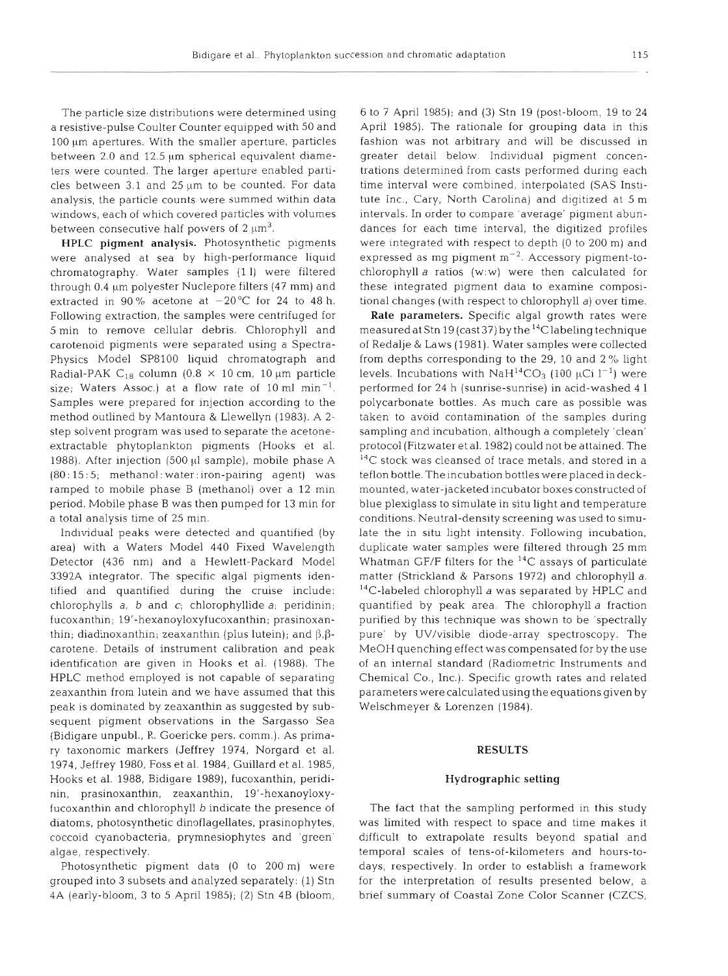The particle size distributions were determined using a resistive-pulse Coulter Counter equipped with 50 and 100 µm apertures. With the smaller aperture, particles between 2.0 and 12.5 um spherical equivalent diameters were counted. The larger aperture enabled particles between  $3.1$  and  $25 \mu m$  to be counted. For data analysis, the particle counts were summed within data windows, each of which covered particles with volumes between consecutive half powers of  $2 \mu m^3$ .

HPLC pigment analysis. Photosynthetic pigments were analysed at sea by high-performance liquid chromatography. Water samples (1 1) were filtered through 0.4  $\mu$ m polyester Nuclepore filters (47 mm) and extracted in 90% acetone at  $-20^{\circ}$ C for 24 to 48 h. Following extraction, the samples were centrifuged for 5 min to remove cellular debris. Chlorophyll and carotenoid pigments were separated using a Spectra-Physics Model SP8100 liquid chromatograph and Radial-PAK C<sub>18</sub> column (0.8  $\times$  10 cm, 10 µm particle size; Waters Assoc.) at a flow rate of 10 ml  $min^{-1}$ . Samples were prepared for injection according to the method outlined by Mantoura & Llewellyn (1983). **A** 2 step solvent program was used to separate the acetoneextractable phytoplankton pigments (Hooks et al. 1988). After injection  $(500 \mu l \text{ sample})$ , mobile phase A (80: 15 : 5; methanol : water: iron-pairing agent) was ramped to mobile phase B (methanol) over a 12 min period. Mobile phase B was then pumped for 13 min for a total analysis time of 25 min.

Individual peaks were detected and quantified (by area) with a Waters Model 440 Fixed Wavelength Detector (436 nm) and a Hewlett-Packard Model 3392A integrator. The specific algal pigments identified and quantified during the cruise include: chlorophylls  $a$ ,  $b$  and  $c$ ; chlorophyllide  $a$ ; peridinin; fucoxanthin; 19'-hexanoyloxyfucoxanthin; prasinoxanthin; diadinoxanthin; zeaxanthin (plus lutein); and  $\beta$ , $\beta$ carotene. Details of instrument calibration and peak identification are given in Hooks et al. (1988). The HPLC method employed is not capable of separating zeaxanthin from lutein and we have assumed that this peak is dominated by zeaxanthin as suggested by subsequent pigment observations in the Sargasso Sea (Bidigare unpubl., R. Goericke pers. comm.). As primary taxonomic markers (Jeffrey 1974, Norgard et al. 1974, Jeffrey 1980, Foss et al. 1984, Guillard et al. 1985, Hooks et al. 1988, Bidigare 1989), fucoxanthin, peridinin, prasinoxanthin, zeaxanthin, 19'-hexanoyloxyfucoxanthin and chlorophyll b indicate the presence of diatoms, photosynthetic dinoflagellates, prasinophytes, coccoid cyanobacteria, prymnesiophytes and 'green' algae, respectively.

Photosynthetic pigment data (0 to 200 m) were grouped into 3 subsets and analyzed separately: (1) Stn 4A (early-bloom, 3 to 5 April 1985); (2) Stn 4B (bloom, 6 to 7 April 1985); and (3) Stn 19 (post-bloom, 19 to 24 April 1985). The rationale for grouping data in this fashion was not arbitrary and will be discussed in greater detail below. Individual pigment concentrations determined from casts performed during each time interval were combined, interpolated (SAS Institute Inc., Cary, North Carolina) and digitized at 5 m intervals. In order to compare 'average' pigment abundances for each time interval, the digitized profiles were integrated with respect to depth (0 to 200 m) and expressed as mg pigment  $m^{-2}$ . Accessory pigment-tochlorophyll  $a$  ratios (w:w) were then calculated for these integrated pigment data to examine compositional changes (with respect to chlorophyll a) over time.

Rate parameters. Specific algal growth rates were measured at Stn 19 (cast 37) by the  $^{14}$ C labeling technique of Redalje & Laws (1981). Water samples were collected from depths correspondng to the 29, 10 and 2% light levels. Incubations with NaH<sup>14</sup>CO<sub>3</sub> (100  $\mu$ Ci l<sup>-1</sup>) were performed for 24 h (sunrise-sunrise) in acid-washed 4 1 polycarbonate bottles. As much care as possible was taken to avoid contamination of the samples during sampling and incubation, although a completely 'clean' protocol (Fitzwater et al. 1982) could not be attained. The **I4C** stock was cleansed of trace metals, and stored in a teflon bottle. The incubation bottles were placed in deckmounted, water-jacketed incubator boxes constructed of blue plexiglass to simulate in situ light and temperature conditions. Neutral-density screening was used to simulate the in situ light intensity. Following incubation, duplicate water samples were filtered through 25 mm Whatman GF/F filters for the 14C assays of particulate matter (Strickland & Parsons 1972) and chlorophyll a. 14C-labeled chlorophyll *a* was separated by HPLC and quantified by peak area. The chlorophyll a fraction purified by this technique was shown to be 'spectrally pure' by UV/visible diode-array spectroscopy. The MeOH quenching effect was compensated for by the use of an internal standard (Radiometric Instruments and Chemical Co., Inc.). Specific growth rates and related parameters were calculated using the equations given by Welschmeyer & Lorenzen (1984).

#### RESULTS

#### Hydrographic setting

The fact that the sampling performed in this study was limited with respect to space and time makes it difficult to extrapolate results beyond spatial and temporal scales of tens-of-kilometers and hours-todays, respectively. In order to establish a framework for the interpretation of results presented below, a brief summary of Coastal Zone Color Scanner (CZCS,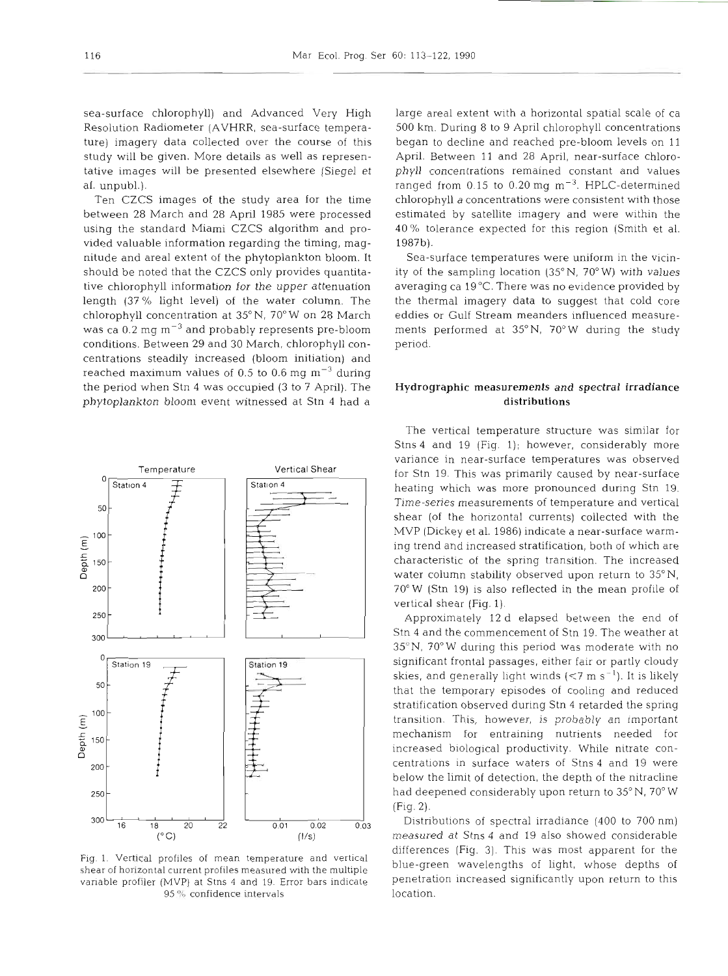sea-surface chlorophyll) and Advanced Very High Resolution Radiometer (AVHRR, sea-surface temperature) imagery data collected over the course of this study will be given. More details as well as representative images will be presented elsewhere (Siegel et al. unpubl.).

Ten CZCS images of the study area for the time between 28 March and 28 April 1985 were processed using the standard Miami CZCS algorithm and provided valuable information regarding the timing, magnitude and areal extent of the phytoplankton bloom. It should be noted that the CZCS only provides quantitative chlorophyll information for the upper attenuation length (37 % light level) of the water column. The chlorophyll concentration at 35"N, 70" W on 28 March was ca  $0.2$  mg  $\text{m}^{-3}$  and probably represents pre-bloom conditions. Between 29 and 30 March, chlorophyll concentrations steadily increased (bloom initiation) and reached maximum values of 0.5 to 0.6 mg  $\text{m}^{-3}$  during the period when Stn 4 was occupied (3 to **7** April). The phytoplankton bloom event witnessed at Stn 4 had a



Fig. 1. Verfical profiles of mean temperature and vertical shear of horizontal current profiles measured with the multiple variable profiler (MVP) at Stns 4 and 19. Error bars indicate 95 % confidence intervals

large areal extent with a horizontal spatial scale of ca 500 km. During 8 to 9 April chlorophyll concentrations began to decline and reached pre-bloom levels on 11 April. Between 11 and 28 April, near-surface chlorophyll concentrations remained constant and values ranged from  $0.15$  to  $0.20$  mg  $\text{m}^{-3}$ . HPLC-determined chlorophyll a concentrations were consistent with those estimated by satellite imagery and were within the 40 % tolerance expected for this region (Smith et al. 1987b).

Sea-surface temperatures were uniform in the vicinity of the sampling location (35°N, 70°W) with values averaging ca 19°C. There was no evidence provided by the thermal imagery data to suggest that cold core eddies or Gulf Stream meanders influenced measurements performed at 35"N, 70°W during the study period.

## Hydrographic measurements and spectral irradiance distributions

The vertical temperature structure was similar for Stns 4 and 19 (Fig. 1); however, considerably more variance in near-surface temperatures was observed for Stn 19. This was primarily caused by near-surface heating which was more pronounced during Stn 19. Time-series measurements of temperature and vertical shear (of the horizontal currents) collected with the MVP (Dickey et al. 1986) indicate a near-surface warming trend and increased stratification, both of which are characteristic of the spring transition. The increased water column stability observed upon return to 35" N, 70°W (Stn 19) is also reflected in the mean profile of vertical shear (Fig. 1).

Approximately 12 d elapsed between the end of Stn 4 and the commencement of Stn 19. The weather at 35"N, 70" W during this period was moderate with no significant frontal passages, either fair or partly cloudy skies, and generally light winds ( $\lt 7$  m s<sup>-1</sup>). It is likely that the temporary episodes of cooling and reduced stratification observed during Stn 4 retarded the spring transition. This, however, is probably an important mechanism for entraining nutrients needed for increased biological productivity. While nitrate concentrations in surface waters of Stns 4 and 19 were below the limit of detection, the depth of the nitracline had deepened considerably upon return to 35°N, 70°W (Fig. 2).

Distributions of spectral irradiance (400 to 700 nm) measured at Stns 4 and 19 also showed considerable differences (Fig. 3). This was most apparent for the blue-green wavelengths of light, whose depths of penetration increased significantly upon return to this location.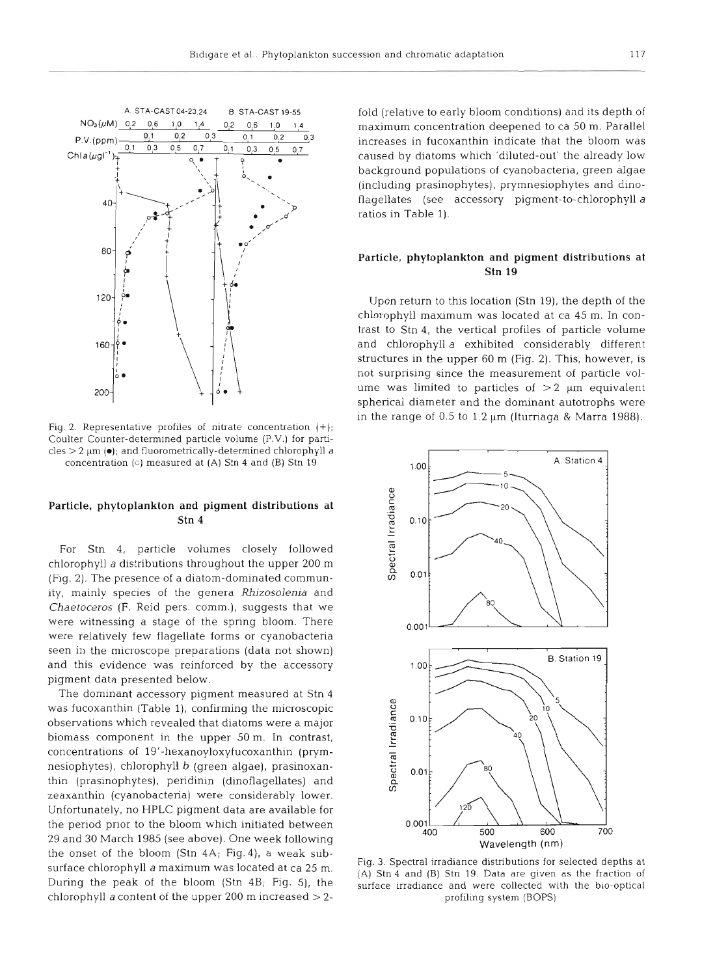

Fig. 2. Representative profiles of nitrate concentration  $(+)$ ; Coulter Counter-determined particle volume (P.V.) for particles > *2* **pm (0);** and fluorometrically-determined chlorophyll a concentration (0) measured at (A) **Stn** 4 and **(B)** Stn **<sup>19</sup>**

## **Particle, phytoplankton and pigment distributions at Stn 4**

For Stn 4, particle volumes closely followed chlorophyll a distributions throughout the upper 200 m (Fig. 2). The presence of a diatom-dominated community, mainly species of the genera Rhizosolenia and Chaetoceros (F. Reid pers. comm.), suggests that we were witnessing a stage of the spring bloom. There were relatively few flagellate forms or cyanobacteria seen in the microscope preparations (data not shown) and this evidence was reinforced by the accessory pigment data presented below.

The dominant accessory pigment measured at Stn 4 was fucoxanthin (Table 1), confirming the microscopic observations which revealed that diatoms were a major biomass component in the upper 50 m. In contrast, concentrations of 19'-hexanoyloxyfucoxanthin (prymnesiophytes), chlorophyll b (green algae), prasinoxanthin (prasinophytes), peridinin (dinoflagellates) and zeaxanthin (cyanobacteria) were considerably lower. Unfortunately, no HPLC pigment data are available for the period prior to the bloom which initiated between 29 and 30 March 1985 (see above). One week following the onset of the bloom (Stn 4A; Fig.4), a weak subsurface chlorophyll a maximum was located at ca 25 m. During the peak of the bloom (Stn 4B; Fig. 5), the chlorophyll a content of the upper 200 m increased  $>$  2fold (relative to early bloom conditions) and its depth of maximum concentration deepened to ca 50 m. Parallel increases in fucoxanthin indicate that the bloom was caused by diatoms which 'diluted-out' the already low background populations of cyanobacteria, green algae (including prasinophytes), prymnesiophytes and dinoflagellates (see accessory pigment-to-chlorophyll a ratios in Table 1).

## **Particle, phytoplankton and pigment distributions at Stn 19**

Upon return to this location (Stn 19), the depth of the chlorophyll maximum was located at ca 45 m. In contrast to Stn 4, the vertical profiles of particle volume and chlorophyll a exhibited considerably different structures in the upper 60 m (Fig. **2).** This, however, is not surprising since the measurement of particle volume was limited to particles of  $>2$  µm equivalent spherical diameter and the dominant autotrophs were in the range of  $0.5$  to  $1.2 \mu m$  (Iturriaga & Marra 1988).



Fig. 3. Spectral irradiance distributions for selected depths at (A) Stn 4 and (B) Stn 19. Data are given as the fraction of surface irradiance and were collected with the bio-optical profiling system (BOPS)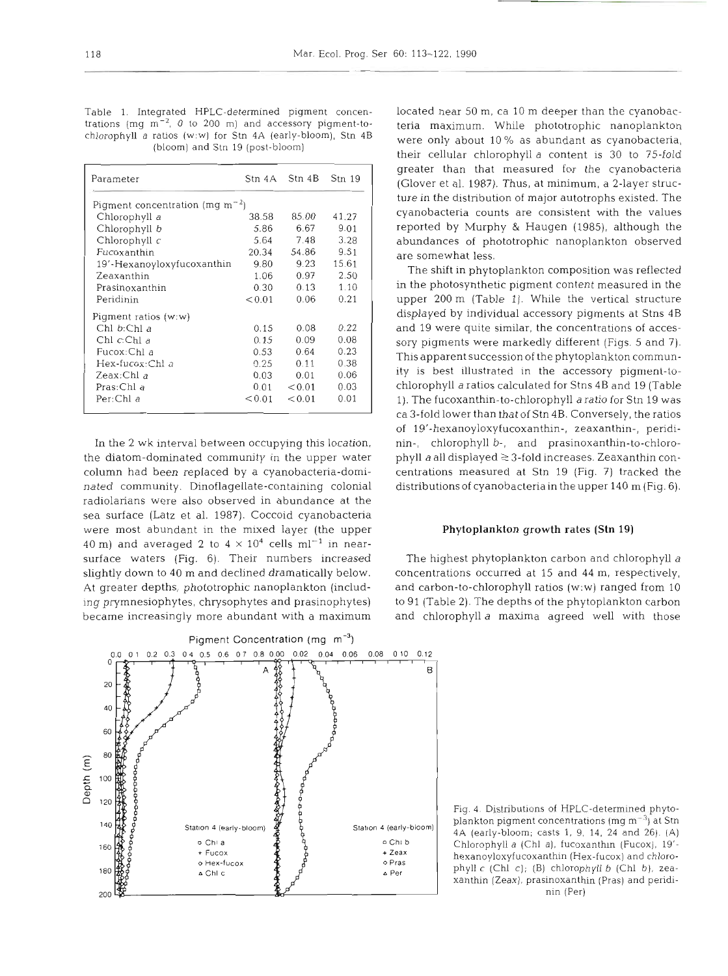Table 1. Integrated HPLC-determined pigment concentrations (mg  $m^{-2}$ , 0 to 200 m) and accessory pigment-tochlorophyll a ratios **(w:w)** for Stn 4A (early-bloom), Stn 4B (bloom) and Stn 19 (post-bloom)

| Parameter                            |        | Stn 4A Stn 4B Stn 19 |       |  |  |  |  |  |  |
|--------------------------------------|--------|----------------------|-------|--|--|--|--|--|--|
| Pigment concentration (mg $m^{-2}$ ) |        |                      |       |  |  |  |  |  |  |
| Chlorophyll a                        | 38.58  | 85.00                | 41.27 |  |  |  |  |  |  |
| Chlorophyll b                        | 5.86   | 6.67                 | 9.01  |  |  |  |  |  |  |
| Chlorophyll $c$                      | 5.64   | 7.48                 | 3.28  |  |  |  |  |  |  |
| Fucoxanthin                          | 20.34  | 54.86                | 9.51  |  |  |  |  |  |  |
| 19'-Hexanoyloxyfucoxanthin           | 9.80   | 9.23                 | 15.61 |  |  |  |  |  |  |
| Zeaxanthin                           | 1.06   | 0.97                 | 2.50  |  |  |  |  |  |  |
| Prasinoxanthin                       | 0.30   | 0.13                 | 1.10  |  |  |  |  |  |  |
| Peridinin                            | < 0.01 | 0.06                 | 0.21  |  |  |  |  |  |  |
| Pigment ratios $(w; w)$              |        |                      |       |  |  |  |  |  |  |
| Chl b:Chl a                          | 0.15   | 0.08                 | 0.22  |  |  |  |  |  |  |
| Chl <i>c</i> :Chl a                  | 0.15   | 0.09                 | 0.08  |  |  |  |  |  |  |
| Fucox:Chl a                          | 0.53   | 0.64                 | 0.23  |  |  |  |  |  |  |
| Hex-fucox:Chl a                      | 0.25   | 0.11                 | 0.38  |  |  |  |  |  |  |
| Zeax:Chl a                           | 0.03   | 0.01                 | 0.06  |  |  |  |  |  |  |
| Pras:Chl a                           | 0.01   | < 0.01               | 0.03  |  |  |  |  |  |  |
| Per:Chl a                            | < 0.01 | < 0.01               | 0.01  |  |  |  |  |  |  |

In the 2 wk interval between occupying this location, the diatom-dominated community in the upper water column had been replaced by a cyanobacteria-dominated community. Dinoflagellate-containing colonial radiolarians were also observed in abundance at the sea surface (Latz et al. **1987).** Coccoid cyanobactena were most abundant in the mixed layer (the upper 40 m) and averaged 2 to  $4 \times 10^4$  cells ml<sup>-1</sup> in nearsurface waters (Fig. 6). Their numbers increased slightly down to **40** m and declined dramatically below. At greater depths, phototrophic nanoplankton (including prymnesiophytes, chrysophytes and prasinophytes) became increasingly more abundant with a maximum



located near 50 m, ca 10 m deeper than the cyanobacteria maximum. While phototrophic nanoplankton were only about **10%** as abundant as cyanobacteria, their cellular chlorophyll a content is 30 to 75-fold greater than that measured for the cyanobacteria (Glover et al. **1987).** Thus, at minimum, a 2-layer structure in the distribution of major autotrophs existed. The cyanobacteria counts are consistent with the values reported by Murphy & Haugen (1985), although the abundances of phototrophic nanoplankton observed are somewhat less.

The shift in phytoplankton composition was reflected in the photosynthetic pigment content measured in the upper **200** m (Table 1). While the vertical structure displayed by individual accessory pigments at Stns 4B and **19** were quite similar, the concentrations of accessory pigments were markedly different (Figs. 5 and 7). This apparent succession of the phytoplankton community is best illustrated in the accessory pigment-tochlorophyll a ratios calculated for Stns **4B** and 19 (Table 1). The fucoxanthin-to-chlorophyll a ratio for Stn 19 was ca 3-fold lower than that of Stn **4B.** Conversely, the ratios of 19'-hexanoyloxyfucoxanthin-, zeaxanthin-, peridinin-, chlorophyll b-, and prasinoxanthin-to-chlorophyll a all displayed  $\geq$  3-fold increases. Zeaxanthin concentrations measured at Stn **19** (Fig. ?) tracked the distributions of cyanobacteriain the upper **140** m (Fig. **6).** 

#### Phytoplankton growth rates (Stn 19)

The highest phytoplankton carbon and chlorophyll a concentrations occurred at 15 and **44** m, respectively, and carbon-to-chlorophyll ratios (w:w) ranged from 10 to 91 (Table 2). The depths of the phytoplankton carbon and chlorophyll a maxima agreed well with those

Fig. **4.** Distributions of HPLC-determined phytoplankton pigment concentrations (mg  $m^{-3}$ ) at Stn 4A (early-bloom; casts 1, 9, 14, 24 and 26). (A) Chlorophyll a (Chl a), fucoxanthin (Fucox), 19'hexanoyloxyfucoxanthin (Hex-fucox) and chlorophyll c (Chl c); (B) chlorophyll b (Chl b), zeaxanthin (Zeax), prasinoxanthin (Pras) and peridinin (Per)

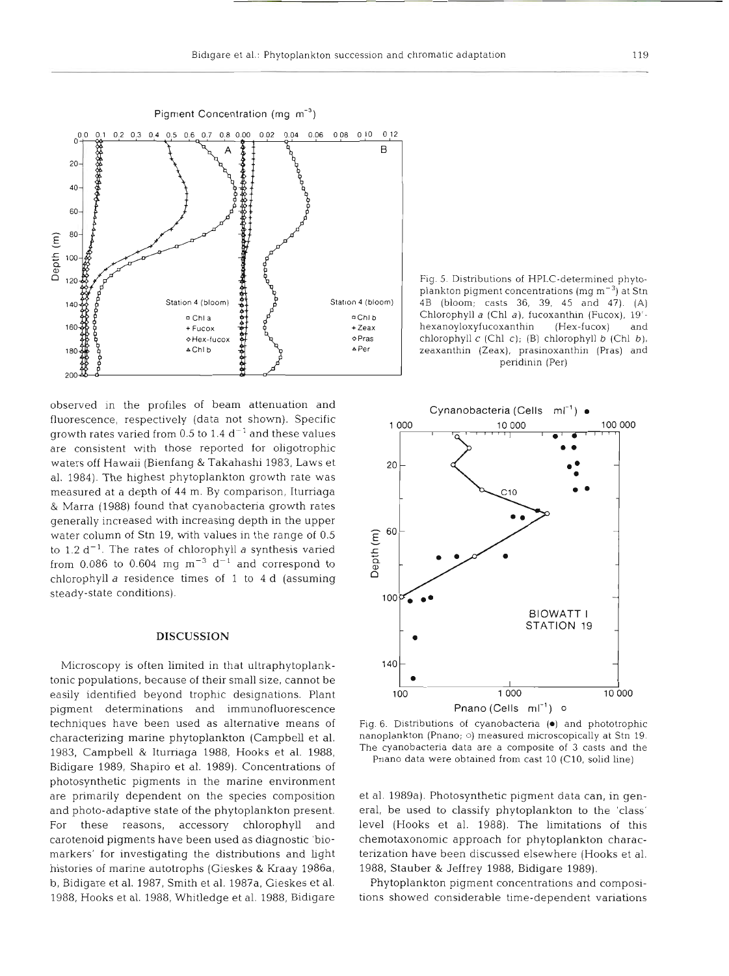

observed in the profiles of beam attenuation and fluorescence, respectively (data not shown). Specific growth rates varied from 0.5 to 1.4  $d^{-1}$  and these values are consistent with those reported for oligotrophic waters off Hawaii (Bienfang & Takahashi 1983, Laws et al. 1984). The highest phytoplankton growth rate was measured at a depth of 44 m. By comparison, Iturriaga & Marra (1988) found that cyanobacteria growth rates generally increased with increasing depth in the upper water column of Stn 19, with values in the range of 0.5 to 1.2  $d^{-1}$ . The rates of chlorophyll a synthesis varied from 0.086 to 0.604 mg  $m^{-3}$  d<sup>-1</sup> and correspond to chlorophyll a residence times of 1 to 4 d (assuming steady-state conditions).

### **DISCUSSION**

Microscopy is often limited in that ultraphytoplanktonic populations, because of their small size, cannot be easily identified beyond trophic designations. Plant pigment determinations and immunofluorescence techniques have been used as alternative means of characterizing marine phytoplankton (Campbell et al. 1983, Campbell & Itumaga 1988, Hooks et al. 1988, Bidigare 1989, Shapiro et al. 1989). Concentrations of photosynthetic pigments in the marine environment are primarily dependent on the species composition and photo-adaptive state of the phytoplankton present. For these reasons, accessory chlorophyll and carotenoid pigments have been used as diagnostic 'biomarkers' for investigating the distributions and light histories of marine autotrophs (Gieskes & Kraay 1986a, b, Bidigare et al. 1987, Smith et al. 1987a, Gieskes et al. 1988, Hooks et al. 1988, Whitledge et al. 1988, Bidigare

Fig. 5. Distributions of HPLC-determined phytoplankton pigment concentrations (mg m-3) at Stn 4B (bloom; casts **36,** 39. 45 and 47). (A) Chlorophyll a (Chl *a),* fucoxanthin (Fucox), 19' hexanoyloxyfucoxanthin (Hex-fucox) and chlorophyll c (Chl c); (B) chlorophyll b (Chl b zeaxanthin (Zeax), prasinoxanthin (Pras) and peridimn (Per)



Fig. 6. Distributions of cyanobacteria ( $\bullet$ ) and phototrophic nanoplankton (Pnano; o) measured microscopically at Stn 19. The cyanobacteria data are a composite of 3 casts and the Pnano data were obtained from cast 10 (C10, solid line)

et al. 1989a). Photosynthetic pigment data can, in general, be used to classify phytoplankton to the 'class' level (Hooks et al. 1988). The limitations of this chemotaxonomic approach for phytoplankton characterization have been discussed elsewhere (Hooks et al. 1988, Stauber & Jeffrey 1988, Bidigare 1989).

Phytoplankton pigment concentrations and compositions showed considerable time-dependent variations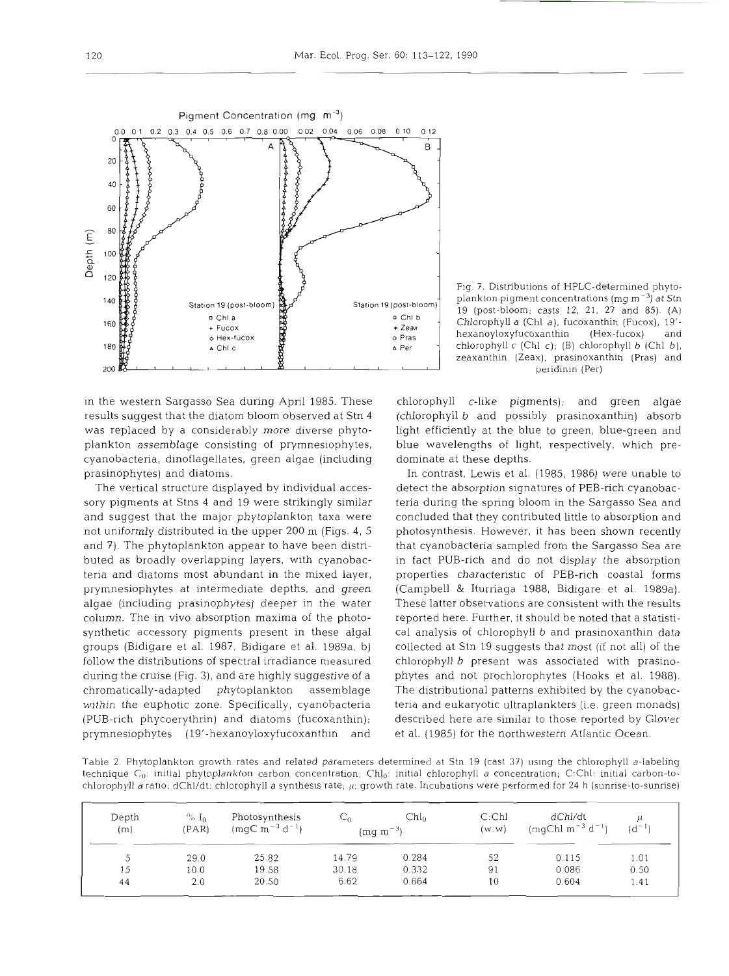

in the western Sargasso Sea during April 1985. These results suggest that the diatom bloom observed at Stn 4 was replaced by a considerably more diverse phytoplankton assemblage consisting of prymnesiophytes, cyanobacteria, dinoflagellates, green algae (including prasinophytes) and diatoms.

The vertical structure displayed by individual accessory pigments at Stns 4 and 19 were strikingly similar and suggest that the major phytoplankton taxa were not uniformly distributed in the upper 200 m (Figs. 4, 5 and 7). The phytoplankton appear to have been distributed as broadly overlapping layers, with cyanobacteria and diatoms most abundant in the mixed layer, prymnesiophytes at intermediate depths, and green algae (including prasinophytes) deeper in the water column. The in vivo absorption maxima of the photosynthetic accessory pigments present in these algal groups (Bidigare et al. 1987, Bidigare et al. 1989a, b) follow the distributions of spectral irradiance measured during the cruise (Fig. **3),** and are highly suggestive of a chromatically-adapted phytoplankton assemblage within the euphotic zone. Specifically, cyanobacteria (PUB-rich phycoerythrin) and diatoms (fucoxanthin); prymneslophytes (19'-hexanoyloxyfucoxanthin and

Fig. 7. Distributions of HPLC-determined phytoplankton pigment concentrations (mg m $^{-3}$ ) at Stn 19 (post-bloom; casts 12, 21, 27 and 85). (A) Chlorophyll a (Chl a), fucoxanthin (Fucox), 19' hexanoyloxyfucoxanthin (Hex-fucox) and chlorophyll c (Chl *c);* (B) chlorophyll b (Chl b), zeaxanthin (Zeax), prasinoxanthin (Pras) and peridinin (Per)

chlorophyll c-like pigments); and green algae (chlorophyll b and possibly prasinoxanthin) absorb light efficiently at the blue to green, blue-green and blue wavelengths of light, respectively, which predominate at these depths.

In contrast, Lewis et al. (1985, 1986) were unable to detect the absorption signatures of PEB-rich cyanobacteria during the spring bloom in the Sargasso Sea and concluded that they contributed little to absorption and photosynthesis. However, it has been shown recently that cyanobacteria sampled from the Sargasso Sea are in fact PUB-rich and do not display the absorption properties characteristic of PEB-rich coastal forms (Campbell & Iturriaga 1988, Bidigare et al. 1989a). These latter observations are consistent with the results reported here. Further, it should be noted that a statistical analysis of chlorophyll b and prasinoxanthin data collected at Stn 19 suggests that most (if not all) of the chlorophyll b present was associated with prasinophytes and not prochlorophytes (Hooks et al. 1988). The distributional patterns exhibited by the cyanobacteria and eukaryotic ultraplankters (i.e. green monads) described here are similar to those reported by Glover et al. (1985) for the northwestern Atlantic Ocean.

Table 2. Phytoplankton growth rates and related parameters determined at Stn 19 (cast 37) uslng the chlorophyll a-labeling technique  $C_0$ : initial phytoplankton carbon concentration;  $Chl_0$ : initial chlorophyll a concentration; C:Chl: initial carbon-tochlorophyll a ratio; dChl/dt: chlorophyll a synthesis rate; **(1:** growth rate. Incubations were performed for 24 h (sunrise-to-sunrise)

| Depth<br>(m) | $\%$ I <sub>0</sub><br>(PAR) | Photosynthesis<br>$(mqC m^{-3} d^{-1})$ |       | $Chl_{0}$<br>$(mq m^{-3})$ | C:ChI<br>(w:w) | dChl/dt<br>$(mqChl m^{-3} d^{-1})$ | $(d^{-1})$ |
|--------------|------------------------------|-----------------------------------------|-------|----------------------------|----------------|------------------------------------|------------|
|              | 29.0                         | 25.82                                   | 14.79 | 0.284                      | 52             | 0.115                              | 1.01       |
| 15           | 10.0                         | 19.58                                   | 30.18 | 0.332                      | 91             | 0.086                              | 0.50       |
| 44           | 2.0                          | 20.50                                   | 6.62  | 0.664                      | 10             | 0.604                              | 1.41       |
|              |                              |                                         |       |                            |                |                                    |            |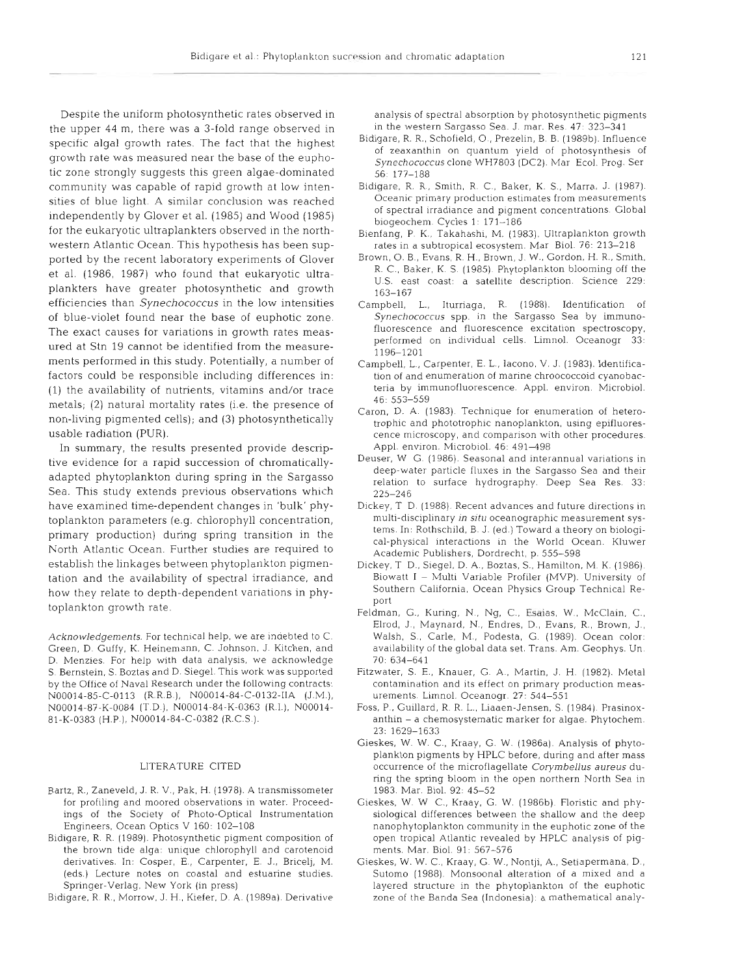Despite the uniform photosynthetic rates observed in the upper 44 m, there was a 3-fold range observed in specific algal growth rates. The fact that the highest growth rate was measured near the base of the euphotic zone strongly suggests this green algae-dominated community was capable of rapid growth at low intensities of blue light. A similar conclusion was reached independently by Glover et al. (1985) and Wood (1985) for the eukaryotic ultraplankters observed in the northwestern Atlantic Ocean. This hypothesis has been supported by the recent laboratory experiments of Glover et al. (1986, 1987) who found that eukaryotic ultraplankters have greater photosynthetic and growth efficiencies than Synechococcus in the low intensities of blue-violet found near the base of euphotic zone. The exact causes for variations in growth rates measured at Stn 19 cannot be identified from the measurements performed in this study. Potentially, a number of factors could be responsible including differences in: (1) the availability of nutrients, vitamins and/or trace metals; (2) natural mortality rates (i.e. the presence of non-living pigmented cells); and **(3)** photosynthetically usable radiation (PUR).

In summary, the results presented provide descriptive evidence for a rapid succession of chromaticallyadapted phytoplankton during spring in the Sargasso Sea. This study extends previous observations which have examined time-dependent changes in 'bulk' phytoplankton parameters (e.g. chlorophyll concentration, primary production) during spring transition in the North Atlantic Ocean. Further studies are required to establish the linkages between phytoplankton pigmentation and the availability of spectral irradiance, and how they relate to depth-dependent variations in phytoplankton growth rate.

Acknowledgements. For technical help, we are indebted to C. Green, D. Guffy, K. Heinemann, C. Johnson, J. Kitchen, and D. Menzies For help with data analysis, we acknowledge S. Bernstein. S. Boztas and D. Siegel. This work was supported by the Office of Naval Research under the following contracts: N00014-85-C-0113 (R.R.B.), N00014-84-C-0132-IIA (J.M.), N00014-87-K-0084 (T.D.), N00014-84-K-0363 (R.I.), N00014- 81-K-0383 (H.P.), N00014-84-C-0382 (R.C.S.).

#### LITERATURE CITED

- Bartz, R., Zaneveld, J. R. V., Pak, H. (1978). A transmissometer for profiling and moored observations in water. Proceedings of the Society of Photo-Optical Instrumentation Engineers, Ocean Optics V 160: 102-108
- Bidigare, R. R. (1989). Photosynthetic pigment composition of the brown tide alga: unique chlorophyll and carotenoid derivatives. In: Cosper, E., Carpenter, E. J., Bricelj, M. (eds ) Lecture notes on coastal and estuarine studies. Springer-Verlag, New York (in press)
- Bidigare, R. R., Morrow, J. H., Kiefer, D. A. (1989a). Derivative

analysis of spectral absorption by photosynthetic pigments in the western Sargasso Sea. J. mar. Res. 47: 323-341

- Bidigare, R. R., Schofield, O., Prezelin, B. B. (1989b). Influence of zeaxanthin on quantum yield of photosynthesis of Synechococcus clone WH7803 (DC2). Mar Ecol. Prog. Ser 56: 177-188
- Bidigare, R. R., Smith, R. C., Baker, K. S., Marra, J. (1987). Oceanic primary production estimates from measurements of spectral irradiance and pigment concentrations. Global biogeochem. Cycles 1: 171-186
- Bienfang, P. K., Takahashi. M. (1983). Ultraplankton growth rates in a subtropical ecosystem. Mar Biol. 76: 213-218
- Brown, 0. B., Evans, R. H., Brown, J. W., Gordon. H. R., Smith, R. C., Baker, K. S. (1985). Phytoplankton blooming off the U.S. east coast: a satellite description. Science 229: 163-167
- Campbell, L., Iturriaga, R. (1988). Identification of Synechococcus spp. in the Sargasso Sea by immunofluorescence and fluorescence excitation spectroscopy, performed on individual cells. Limnol. Oceanogr 33: 1196-1201
- Campbell, L., Carpenter, E. L., Iacono, V. J. (1983). Identification of and enumeration of manne chroococcoid cyanobacteria by immunofluorescence. Appl. environ. Microbiol. 46: 553-559
- Caron, D. A. (1983). Technique for enumeration of heterotrophic and phototrophic nanoplankton, using epifluorescence microscopy, and comparison with other procedures. Appl. environ. Microbiol. 46: 491-498
- Deuser, W G. (1986). Seasonal and interannual variations in deep-water particle fluxes in the Sargasso Sea and their relation to surface hydrography. Deep Sea Res. 33: 225-246
- Dickey, T D. (1988). Recent advances and future directions in multi-disciplinary in situ oceanographic measurement systems. In: Rothschild, B. J. (ed.) Toward a theory on biological-physical interactions in the World Ocean. Kluwer Academic Publishers, Dordrecht, p. 555-598
- Dickey, T. D., Siegel, D. A., Boztas, S., Hamilton, M. K. (1986). Biowatt I - Multi Variable Profiler (MVP). University of Southern California, Ocean Physics Group Technical Report
- Feldman, G., Kuring, N., Ng, C., Esaias, W., McClain, C., Elrod, J., Maynard, N., Endres, D., Evans, R., Brown, J., Walsh, S., Carle, M., Podesta, G. (1989). Ocean color: availability of the global data set. Trans. Am. Geophys. Un 70: 634-64
- Fitzwater, S. E., Knauer, G. A., Martin, J. H. (1982). Metal contamination and its effect on primary production measurements. Limnol. Oceanogr. 27: 544-551
- Foss, P., Guillard, R. R. L., Liaaen-Jensen, S. (1984). Prasinoxanthin - a chemosystematic marker for algae. Phytochem. 23: 1629–1633
- Gieskes, W. W. C., Kraay, G. W. (1986a). Analysis of phytoplankton pigments by HPLC before, during and after mass occurrence of the microflagellate Corymbellus aureus during the spring bloom in the open northern North Sea in 1983. Mar. Biol. 92: 45-52
- Gieskes, W. W C., Kraay, G. W. (1986b). Floristic and physiological differences between the shallow and the deep nanophytoplankton community in the euphotic zone of the open tropical Atlantic revealed by HPLC analysis of pigments. Mar. Biol. 91: 567-576
- Gieskes, W. W. C., Kraay, G. W., Nontji, A., Setiapermana, D., Sutomo (1988). Monsoonal alteration of a mixed and a layered structure in the phytoplankton of the euphotic zone of the Banda Sea (Indonesia): a mathematical analy-